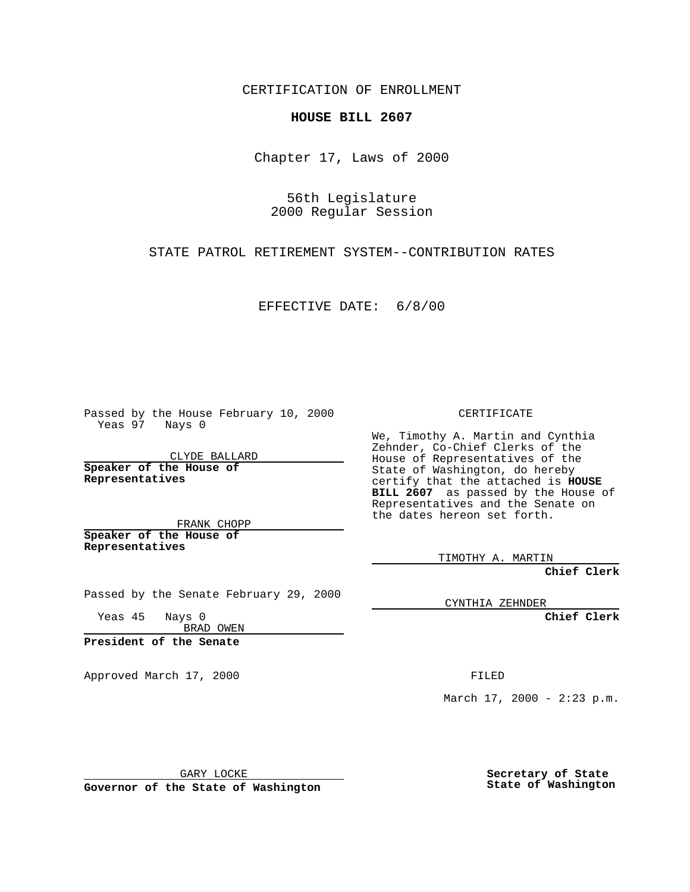CERTIFICATION OF ENROLLMENT

## **HOUSE BILL 2607**

Chapter 17, Laws of 2000

56th Legislature 2000 Regular Session

STATE PATROL RETIREMENT SYSTEM--CONTRIBUTION RATES

EFFECTIVE DATE: 6/8/00

Passed by the House February 10, 2000 Yeas 97 Nays 0

CLYDE BALLARD **Speaker of the House of Representatives**

FRANK CHOPP **Speaker of the House of Representatives**

Passed by the Senate February 29, 2000

Yeas 45 Nays 0 BRAD OWEN

**President of the Senate**

Approved March 17, 2000 FILED

CERTIFICATE

We, Timothy A. Martin and Cynthia Zehnder, Co-Chief Clerks of the House of Representatives of the State of Washington, do hereby certify that the attached is **HOUSE BILL 2607** as passed by the House of Representatives and the Senate on the dates hereon set forth.

TIMOTHY A. MARTIN

**Chief Clerk**

CYNTHIA ZEHNDER

**Chief Clerk**

March  $17, 2000 - 2:23 p.m.$ 

GARY LOCKE

**Governor of the State of Washington**

**Secretary of State State of Washington**